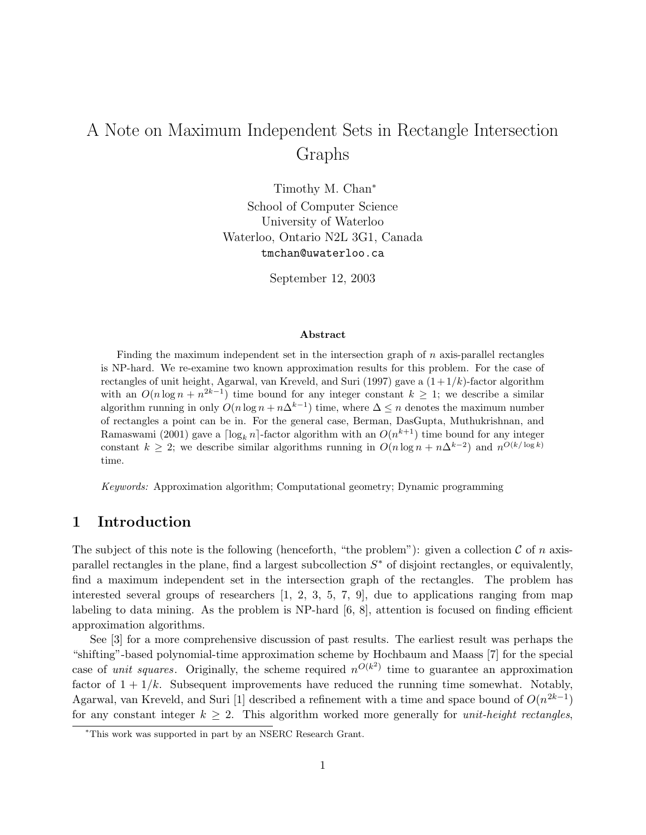# A Note on Maximum Independent Sets in Rectangle Intersection Graphs

Timothy M. Chan<sup>∗</sup> School of Computer Science University of Waterloo Waterloo, Ontario N2L 3G1, Canada tmchan@uwaterloo.ca

September 12, 2003

#### Abstract

Finding the maximum independent set in the intersection graph of  $n$  axis-parallel rectangles is NP-hard. We re-examine two known approximation results for this problem. For the case of rectangles of unit height, Agarwal, van Kreveld, and Suri (1997) gave a  $(1+1/k)$ -factor algorithm with an  $O(n \log n + n^{2k-1})$  time bound for any integer constant  $k \geq 1$ ; we describe a similar algorithm running in only  $O(n \log n + n\Delta^{k-1})$  time, where  $\Delta \leq n$  denotes the maximum number of rectangles a point can be in. For the general case, Berman, DasGupta, Muthukrishnan, and Ramaswami (2001) gave a  $\lceil \log_k n \rceil$ -factor algorithm with an  $O(n^{k+1})$  time bound for any integer constant  $k \geq 2$ ; we describe similar algorithms running in  $O(n \log n + n\Delta^{k-2})$  and  $n^{O(k/\log k)}$ time.

Keywords: Approximation algorithm; Computational geometry; Dynamic programming

# 1 Introduction

The subject of this note is the following (henceforth, "the problem"): given a collection  $\mathcal C$  of n axisparallel rectangles in the plane, find a largest subcollection  $S^*$  of disjoint rectangles, or equivalently, find a maximum independent set in the intersection graph of the rectangles. The problem has interested several groups of researchers  $[1, 2, 3, 5, 7, 9]$ , due to applications ranging from map labeling to data mining. As the problem is NP-hard [6, 8], attention is focused on finding efficient approximation algorithms.

See [3] for a more comprehensive discussion of past results. The earliest result was perhaps the "shifting"-based polynomial-time approximation scheme by Hochbaum and Maass [7] for the special case of *unit squares*. Originally, the scheme required  $n^{O(k^2)}$  time to guarantee an approximation factor of  $1 + 1/k$ . Subsequent improvements have reduced the running time somewhat. Notably, Agarwal, van Kreveld, and Suri [1] described a refinement with a time and space bound of  $O(n^{2k-1})$ for any constant integer  $k \geq 2$ . This algorithm worked more generally for *unit-height rectangles*,

<sup>∗</sup>This work was supported in part by an NSERC Research Grant.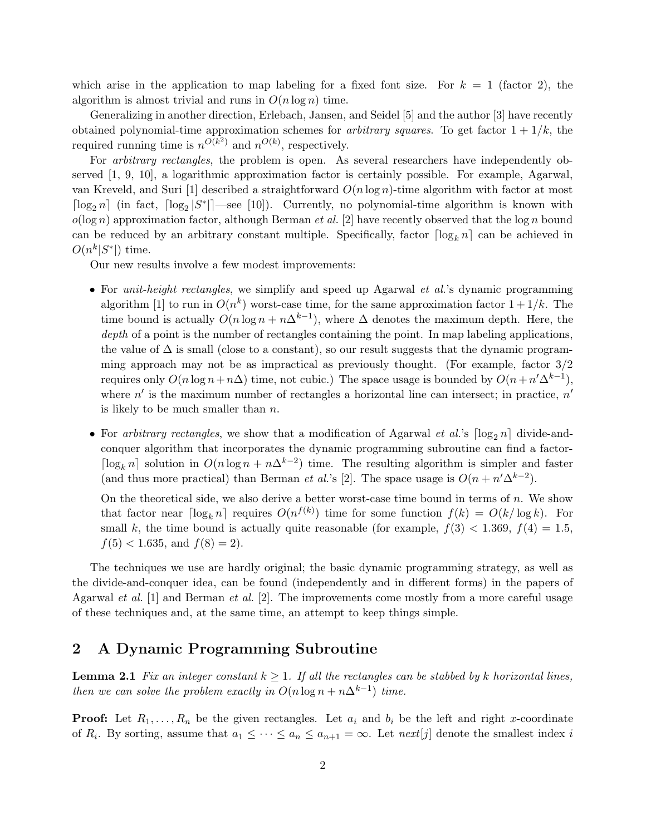which arise in the application to map labeling for a fixed font size. For  $k = 1$  (factor 2), the algorithm is almost trivial and runs in  $O(n \log n)$  time.

Generalizing in another direction, Erlebach, Jansen, and Seidel [5] and the author [3] have recently obtained polynomial-time approximation schemes for *arbitrary squares*. To get factor  $1 + 1/k$ , the required running time is  $n^{\tilde{O(k^2)}}$  and  $n^{O(k)}$ , respectively.

For *arbitrary rectangles*, the problem is open. As several researchers have independently observed [1, 9, 10], a logarithmic approximation factor is certainly possible. For example, Agarwal, van Kreveld, and Suri [1] described a straightforward  $O(n \log n)$ -time algorithm with factor at most  $\lceil \log_2 n \rceil$  (in fact,  $\lceil \log_2 |S^*| \rceil$  see [10]). Currently, no polynomial-time algorithm is known with  $o(\log n)$  approximation factor, although Berman *et al.* [2] have recently observed that the  $\log n$  bound can be reduced by an arbitrary constant multiple. Specifically, factor  $\lceil \log_k n \rceil$  can be achieved in  $O(n^k|S^*|)$  time.

Our new results involve a few modest improvements:

- For *unit-height rectangles*, we simplify and speed up Agarwal *et al.*'s dynamic programming algorithm [1] to run in  $O(n^k)$  worst-case time, for the same approximation factor  $1 + 1/k$ . The time bound is actually  $O(n \log n + n\Delta^{k-1})$ , where  $\Delta$  denotes the maximum depth. Here, the depth of a point is the number of rectangles containing the point. In map labeling applications, the value of  $\Delta$  is small (close to a constant), so our result suggests that the dynamic programming approach may not be as impractical as previously thought. (For example, factor 3/2 requires only  $O(n \log n + n\Delta)$  time, not cubic.) The space usage is bounded by  $O(n + n'\Delta^{k-1})$ , where  $n'$  is the maximum number of rectangles a horizontal line can intersect; in practice,  $n'$ is likely to be much smaller than  $n$ .
- For arbitrary rectangles, we show that a modification of Agarwal et al.'s  $\lceil \log_2 n \rceil$  divide-andconquer algorithm that incorporates the dynamic programming subroutine can find a factor- $\lceil \log_k n \rceil$  solution in  $O(n \log n + n\Delta^{k-2})$  time. The resulting algorithm is simpler and faster (and thus more practical) than Berman *et al.*'s [2]. The space usage is  $O(n + n' \Delta^{k-2})$ .

On the theoretical side, we also derive a better worst-case time bound in terms of n. We show that factor near  $\lceil \log_k n \rceil$  requires  $O(n^{f(k)})$  time for some function  $f(k) = O(k/\log k)$ . For small k, the time bound is actually quite reasonable (for example,  $f(3) < 1.369$ ,  $f(4) = 1.5$ ,  $f(5) < 1.635$ , and  $f(8) = 2$ ).

The techniques we use are hardly original; the basic dynamic programming strategy, as well as the divide-and-conquer idea, can be found (independently and in different forms) in the papers of Agarwal *et al.* [1] and Berman *et al.* [2]. The improvements come mostly from a more careful usage of these techniques and, at the same time, an attempt to keep things simple.

# 2 A Dynamic Programming Subroutine

**Lemma 2.1** Fix an integer constant  $k \geq 1$ . If all the rectangles can be stabbed by k horizontal lines, then we can solve the problem exactly in  $O(n \log n + n\Delta^{k-1})$  time.

**Proof:** Let  $R_1, \ldots, R_n$  be the given rectangles. Let  $a_i$  and  $b_i$  be the left and right x-coordinate of  $R_i$ . By sorting, assume that  $a_1 \leq \cdots \leq a_n \leq a_{n+1} = \infty$ . Let  $\text{next}[j]$  denote the smallest index i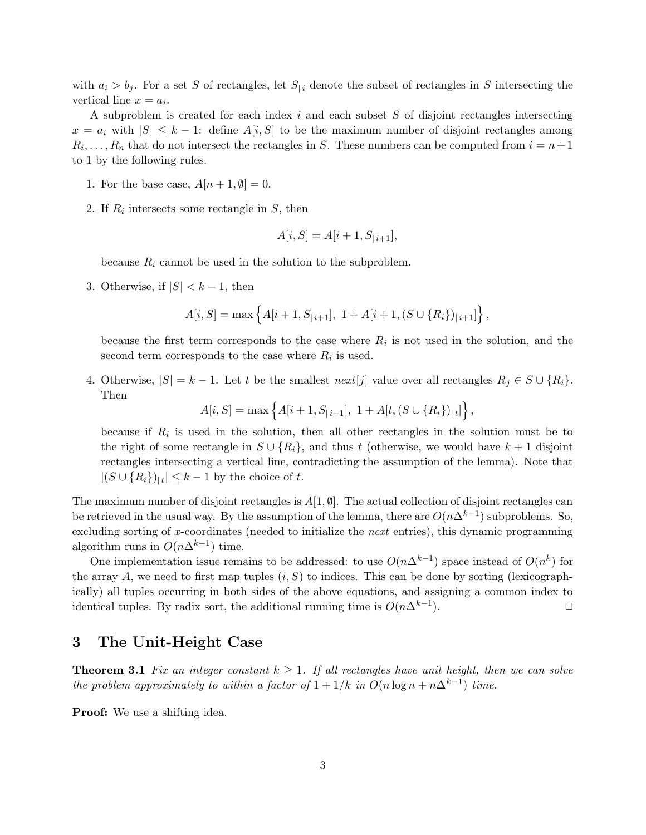with  $a_i > b_j$ . For a set S of rectangles, let  $S_{i}$  denote the subset of rectangles in S intersecting the vertical line  $x = a_i$ .

A subproblem is created for each index  $i$  and each subset  $S$  of disjoint rectangles intersecting  $x = a_i$  with  $|S| \leq k - 1$ : define  $A[i, S]$  to be the maximum number of disjoint rectangles among  $R_i, \ldots, R_n$  that do not intersect the rectangles in S. These numbers can be computed from  $i = n+1$ to 1 by the following rules.

- 1. For the base case,  $A[n+1,\emptyset]=0$ .
- 2. If  $R_i$  intersects some rectangle in  $S$ , then

$$
A[i, S] = A[i + 1, S_{|i+1}],
$$

because  $R_i$  cannot be used in the solution to the subproblem.

3. Otherwise, if  $|S| < k - 1$ , then

$$
A[i, S] = \max \left\{ A[i + 1, S_{|i+1}], \ 1 + A[i + 1, (S \cup \{R_i\})_{|i+1}] \right\},\
$$

because the first term corresponds to the case where  $R_i$  is not used in the solution, and the second term corresponds to the case where  $R_i$  is used.

4. Otherwise,  $|S| = k - 1$ . Let t be the smallest  $next[j]$  value over all rectangles  $R_j \in S \cup \{R_i\}$ . Then

$$
A[i, S] = \max \left\{ A[i + 1, S_{|i+1}], \ 1 + A[t, (S \cup \{R_i\})_{|t}]\right\},\
$$

because if  $R_i$  is used in the solution, then all other rectangles in the solution must be to the right of some rectangle in  $S \cup \{R_i\}$ , and thus t (otherwise, we would have  $k+1$  disjoint rectangles intersecting a vertical line, contradicting the assumption of the lemma). Note that  $|(S \cup \{R_i\})_{|t}| \leq k-1$  by the choice of t.

The maximum number of disjoint rectangles is  $A[1, \emptyset]$ . The actual collection of disjoint rectangles can be retrieved in the usual way. By the assumption of the lemma, there are  $O(n\Delta^{k-1})$  subproblems. So, excluding sorting of x-coordinates (needed to initialize the *next* entries), this dynamic programming algorithm runs in  $O(n\Delta^{k-1})$  time.

One implementation issue remains to be addressed: to use  $O(n\Delta^{k-1})$  space instead of  $O(n^k)$  for the array A, we need to first map tuples  $(i, S)$  to indices. This can be done by sorting (lexicographically) all tuples occurring in both sides of the above equations, and assigning a common index to identical tuples. By radix sort, the additional running time is  $O(n\Delta^{k-1})$ . ).  $\qquad \qquad \Box$ 

### 3 The Unit-Height Case

**Theorem 3.1** Fix an integer constant  $k > 1$ . If all rectangles have unit height, then we can solve the problem approximately to within a factor of  $1 + 1/k$  in  $O(n \log n + n\Delta^{k-1})$  time.

Proof: We use a shifting idea.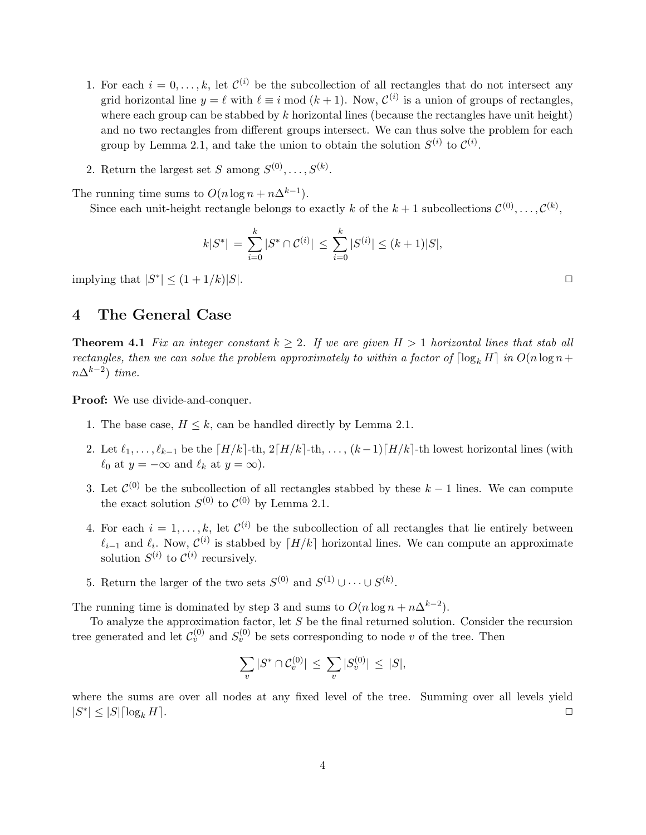- 1. For each  $i = 0, \ldots, k$ , let  $\mathcal{C}^{(i)}$  be the subcollection of all rectangles that do not intersect any grid horizontal line  $y = \ell$  with  $\ell \equiv i \mod (k + 1)$ . Now,  $\mathcal{C}^{(i)}$  is a union of groups of rectangles, where each group can be stabbed by  $k$  horizontal lines (because the rectangles have unit height) and no two rectangles from different groups intersect. We can thus solve the problem for each group by Lemma 2.1, and take the union to obtain the solution  $S^{(i)}$  to  $\mathcal{C}^{(i)}$ .
- 2. Return the largest set S among  $S^{(0)}, \ldots, S^{(k)}$ .

The running time sums to  $O(n \log n + n\Delta^{k-1})$ .

Since each unit-height rectangle belongs to exactly k of the  $k+1$  subcollections  $\mathcal{C}^{(0)}, \ldots, \mathcal{C}^{(k)}$ ,

$$
k|S^*| = \sum_{i=0}^k |S^* \cap \mathcal{C}^{(i)}| \le \sum_{i=0}^k |S^{(i)}| \le (k+1)|S|,
$$

implying that  $|S^*| \leq (1 + 1/k)|S|$ .

### 4 The General Case

**Theorem 4.1** Fix an integer constant  $k \geq 2$ . If we are given  $H > 1$  horizontal lines that stab all rectangles, then we can solve the problem approximately to within a factor of  $\lceil \log_k H \rceil$  in  $O(n \log n +$  $n\Delta^{k-2})$  time.

Proof: We use divide-and-conquer.

- 1. The base case,  $H \leq k$ , can be handled directly by Lemma 2.1.
- 2. Let  $\ell_1, \ldots, \ell_{k-1}$  be the  $\lceil H/k \rceil$ -th,  $2\lceil H/k \rceil$ -th,  $\ldots$ ,  $(k-1)\lceil H/k \rceil$ -th lowest horizontal lines (with  $\ell_0$  at  $y = -\infty$  and  $\ell_k$  at  $y = \infty$ ).
- 3. Let  $\mathcal{C}^{(0)}$  be the subcollection of all rectangles stabbed by these  $k-1$  lines. We can compute the exact solution  $S^{(0)}$  to  $C^{(0)}$  by Lemma 2.1.
- 4. For each  $i = 1, \ldots, k$ , let  $\mathcal{C}^{(i)}$  be the subcollection of all rectangles that lie entirely between  $\ell_{i-1}$  and  $\ell_i$ . Now,  $\mathcal{C}^{(i)}$  is stabbed by  $\lceil H/k \rceil$  horizontal lines. We can compute an approximate solution  $S^{(i)}$  to  $\mathcal{C}^{(i)}$  recursively.
- 5. Return the larger of the two sets  $S^{(0)}$  and  $S^{(1)} \cup \cdots \cup S^{(k)}$ .

The running time is dominated by step 3 and sums to  $O(n \log n + n\Delta^{k-2})$ .

To analyze the approximation factor, let S be the final returned solution. Consider the recursion tree generated and let  $\mathcal{C}_v^{(0)}$  and  $S_v^{(0)}$  be sets corresponding to node v of the tree. Then

$$
\sum_{v} |S^* \cap \mathcal{C}_v^{(0)}| \le \sum_{v} |S_v^{(0)}| \le |S|,
$$

where the sums are over all nodes at any fixed level of the tree. Summing over all levels yield  $|S^*| \leq |S| \lceil \log_k H \rceil$ .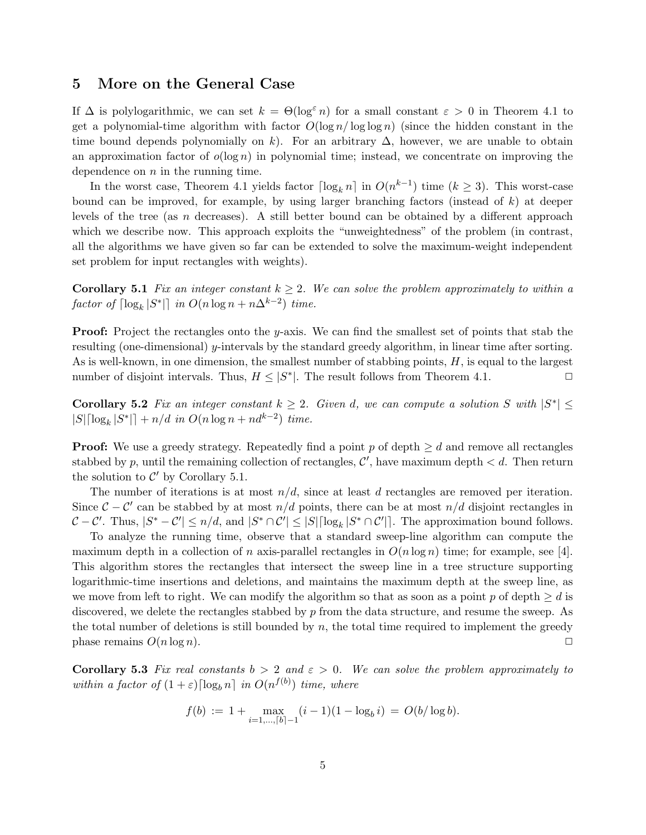### 5 More on the General Case

If  $\Delta$  is polylogarithmic, we can set  $k = \Theta(\log^{\epsilon} n)$  for a small constant  $\varepsilon > 0$  in Theorem 4.1 to get a polynomial-time algorithm with factor  $O(\log n / \log \log n)$  (since the hidden constant in the time bound depends polynomially on k). For an arbitrary  $\Delta$ , however, we are unable to obtain an approximation factor of  $o(\log n)$  in polynomial time; instead, we concentrate on improving the dependence on  $n$  in the running time.

In the worst case, Theorem 4.1 yields factor  $\lceil \log_k n \rceil$  in  $O(n^{k-1})$  time  $(k \geq 3)$ . This worst-case bound can be improved, for example, by using larger branching factors (instead of  $k$ ) at deeper levels of the tree (as n decreases). A still better bound can be obtained by a different approach which we describe now. This approach exploits the "unweightedness" of the problem (in contrast, all the algorithms we have given so far can be extended to solve the maximum-weight independent set problem for input rectangles with weights).

**Corollary 5.1** Fix an integer constant  $k \geq 2$ . We can solve the problem approximately to within a factor of  $\lceil \log_k |S^*| \rceil$  in  $O(n \log n + n\Delta^{k-2})$  time.

**Proof:** Project the rectangles onto the y-axis. We can find the smallest set of points that stab the resulting (one-dimensional) y-intervals by the standard greedy algorithm, in linear time after sorting. As is well-known, in one dimension, the smallest number of stabbing points,  $H$ , is equal to the largest number of disjoint intervals. Thus,  $H \leq |S^*|$ . The result follows from Theorem 4.1.

Corollary 5.2 Fix an integer constant  $k \geq 2$ . Given d, we can compute a solution S with  $|S^*| \leq$  $|S| \lceil \log_k |S^*| \rceil + n/d \text{ in } O(n \log n + nd^{k-2}) \text{ time.}$ 

**Proof:** We use a greedy strategy. Repeatedly find a point p of depth  $\geq d$  and remove all rectangles stabbed by p, until the remaining collection of rectangles,  $\mathcal{C}'$ , have maximum depth  $\lt d$ . Then return the solution to  $\mathcal{C}'$  by Corollary 5.1.

The number of iterations is at most  $n/d$ , since at least d rectangles are removed per iteration. Since  $\mathcal{C} - \mathcal{C}'$  can be stabbed by at most  $n/d$  points, there can be at most  $n/d$  disjoint rectangles in  $C - C'$ . Thus,  $|S^* - C'| \leq n/d$ , and  $|S^* \cap C'| \leq |S| \lceil \log_k |S^* \cap C'| \rceil$ . The approximation bound follows.

To analyze the running time, observe that a standard sweep-line algorithm can compute the maximum depth in a collection of n axis-parallel rectangles in  $O(n \log n)$  time; for example, see [4]. This algorithm stores the rectangles that intersect the sweep line in a tree structure supporting logarithmic-time insertions and deletions, and maintains the maximum depth at the sweep line, as we move from left to right. We can modify the algorithm so that as soon as a point p of depth  $\geq d$  is discovered, we delete the rectangles stabbed by  $p$  from the data structure, and resume the sweep. As the total number of deletions is still bounded by  $n$ , the total time required to implement the greedy phase remains  $O(n \log n)$ .

Corollary 5.3 Fix real constants  $b > 2$  and  $\varepsilon > 0$ . We can solve the problem approximately to within a factor of  $(1+\varepsilon) \lceil \log_b n \rceil$  in  $O(n^{f(b)})$  time, where

$$
f(b) := 1 + \max_{i=1,\dots,[b]-1} (i-1)(1-\log_b i) = O(b/\log b).
$$